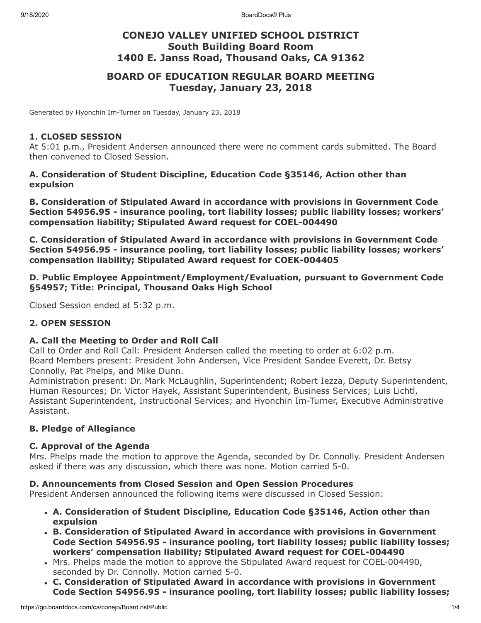## **CONEJO VALLEY UNIFIED SCHOOL DISTRICT South Building Board Room 1400 E. Janss Road, Thousand Oaks, CA 91362**

## **BOARD OF EDUCATION REGULAR BOARD MEETING Tuesday, January 23, 2018**

Generated by Hyonchin Im-Turner on Tuesday, January 23, 2018

#### **1. CLOSED SESSION**

At 5:01 p.m., President Andersen announced there were no comment cards submitted. The Board then convened to Closed Session.

#### **A. Consideration of Student Discipline, Education Code §35146, Action other than expulsion**

**B. Consideration of Stipulated Award in accordance with provisions in Government Code Section 54956.95 - insurance pooling, tort liability losses; public liability losses; workers' compensation liability; Stipulated Award request for COEL-004490**

**C. Consideration of Stipulated Award in accordance with provisions in Government Code Section 54956.95 - insurance pooling, tort liability losses; public liability losses; workers' compensation liability; Stipulated Award request for COEK-004405**

#### **D. Public Employee Appointment/Employment/Evaluation, pursuant to Government Code §54957; Title: Principal, Thousand Oaks High School**

Closed Session ended at 5:32 p.m.

#### **2. OPEN SESSION**

#### **A. Call the Meeting to Order and Roll Call**

Call to Order and Roll Call: President Andersen called the meeting to order at 6:02 p.m. Board Members present: President John Andersen, Vice President Sandee Everett, Dr. Betsy Connolly, Pat Phelps, and Mike Dunn.

Administration present: Dr. Mark McLaughlin, Superintendent; Robert Iezza, Deputy Superintendent, Human Resources; Dr. Victor Hayek, Assistant Superintendent, Business Services; Luis Lichtl, Assistant Superintendent, Instructional Services; and Hyonchin Im-Turner, Executive Administrative Assistant.

#### **B. Pledge of Allegiance**

#### **C. Approval of the Agenda**

Mrs. Phelps made the motion to approve the Agenda, seconded by Dr. Connolly. President Andersen asked if there was any discussion, which there was none. Motion carried 5-0.

#### **D. Announcements from Closed Session and Open Session Procedures**

President Andersen announced the following items were discussed in Closed Session:

- **A. Consideration of Student Discipline, Education Code §35146, Action other than expulsion**
- **B. Consideration of Stipulated Award in accordance with provisions in Government Code Section 54956.95 - insurance pooling, tort liability losses; public liability losses; workers' compensation liability; Stipulated Award request for COEL-004490**
- Mrs. Phelps made the motion to approve the Stipulated Award request for COEL-004490, seconded by Dr. Connolly. Motion carried 5-0.
- **C. Consideration of Stipulated Award in accordance with provisions in Government Code Section 54956.95 - insurance pooling, tort liability losses; public liability losses;**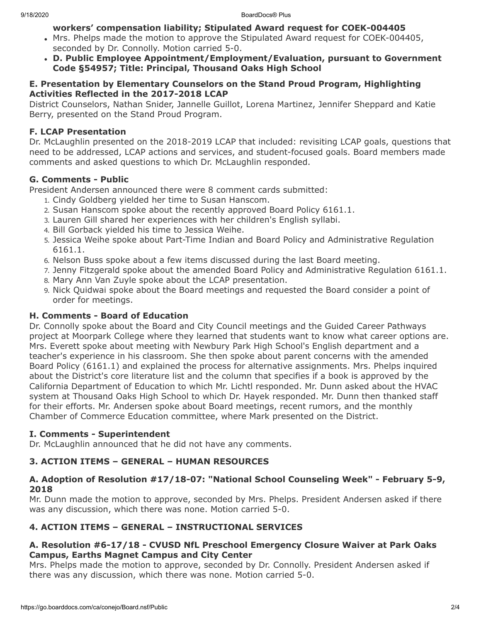## **workers' compensation liability; Stipulated Award request for COEK-004405**

- Mrs. Phelps made the motion to approve the Stipulated Award request for COEK-004405, seconded by Dr. Connolly. Motion carried 5-0.
- **D. Public Employee Appointment/Employment/Evaluation, pursuant to Government Code §54957; Title: Principal, Thousand Oaks High School**

### **E. Presentation by Elementary Counselors on the Stand Proud Program, Highlighting Activities Reflected in the 2017-2018 LCAP**

District Counselors, Nathan Snider, Jannelle Guillot, Lorena Martinez, Jennifer Sheppard and Katie Berry, presented on the Stand Proud Program.

# **F. LCAP Presentation**

Dr. McLaughlin presented on the 2018-2019 LCAP that included: revisiting LCAP goals, questions that need to be addressed, LCAP actions and services, and student-focused goals. Board members made comments and asked questions to which Dr. McLaughlin responded.

# **G. Comments - Public**

President Andersen announced there were 8 comment cards submitted:

- 1. Cindy Goldberg yielded her time to Susan Hanscom.
- 2. Susan Hanscom spoke about the recently approved Board Policy 6161.1.
- 3. Lauren Gill shared her experiences with her children's English syllabi.
- 4. Bill Gorback yielded his time to Jessica Weihe.
- 5. Jessica Weihe spoke about Part-Time Indian and Board Policy and Administrative Regulation 6161.1.
- 6. Nelson Buss spoke about a few items discussed during the last Board meeting.
- 7. Jenny Fitzgerald spoke about the amended Board Policy and Administrative Regulation 6161.1.
- 8. Mary Ann Van Zuyle spoke about the LCAP presentation.
- 9. Nick Quidwai spoke about the Board meetings and requested the Board consider a point of order for meetings.

# **H. Comments - Board of Education**

Dr. Connolly spoke about the Board and City Council meetings and the Guided Career Pathways project at Moorpark College where they learned that students want to know what career options are. Mrs. Everett spoke about meeting with Newbury Park High School's English department and a teacher's experience in his classroom. She then spoke about parent concerns with the amended Board Policy (6161.1) and explained the process for alternative assignments. Mrs. Phelps inquired about the District's core literature list and the column that specifies if a book is approved by the California Department of Education to which Mr. Lichtl responded. Mr. Dunn asked about the HVAC system at Thousand Oaks High School to which Dr. Hayek responded. Mr. Dunn then thanked staff for their efforts. Mr. Andersen spoke about Board meetings, recent rumors, and the monthly Chamber of Commerce Education committee, where Mark presented on the District.

# **I. Comments - Superintendent**

Dr. McLaughlin announced that he did not have any comments.

# **3. ACTION ITEMS – GENERAL – HUMAN RESOURCES**

## **A. Adoption of Resolution #17/18-07: "National School Counseling Week" - February 5-9, 2018**

Mr. Dunn made the motion to approve, seconded by Mrs. Phelps. President Andersen asked if there was any discussion, which there was none. Motion carried 5-0.

# **4. ACTION ITEMS – GENERAL – INSTRUCTIONAL SERVICES**

## **A. Resolution #6-17/18 - CVUSD NfL Preschool Emergency Closure Waiver at Park Oaks Campus, Earths Magnet Campus and City Center**

Mrs. Phelps made the motion to approve, seconded by Dr. Connolly. President Andersen asked if there was any discussion, which there was none. Motion carried 5-0.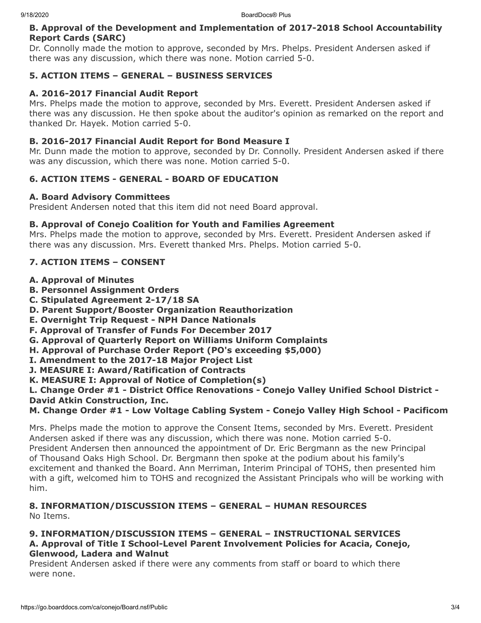#### **B. Approval of the Development and Implementation of 2017-2018 School Accountability Report Cards (SARC)**

Dr. Connolly made the motion to approve, seconded by Mrs. Phelps. President Andersen asked if there was any discussion, which there was none. Motion carried 5-0.

#### **5. ACTION ITEMS – GENERAL – BUSINESS SERVICES**

#### **A. 2016-2017 Financial Audit Report**

Mrs. Phelps made the motion to approve, seconded by Mrs. Everett. President Andersen asked if there was any discussion. He then spoke about the auditor's opinion as remarked on the report and thanked Dr. Hayek. Motion carried 5-0.

#### **B. 2016-2017 Financial Audit Report for Bond Measure I**

Mr. Dunn made the motion to approve, seconded by Dr. Connolly. President Andersen asked if there was any discussion, which there was none. Motion carried 5-0.

#### **6. ACTION ITEMS - GENERAL - BOARD OF EDUCATION**

#### **A. Board Advisory Committees**

President Andersen noted that this item did not need Board approval.

#### **B. Approval of Conejo Coalition for Youth and Families Agreement**

Mrs. Phelps made the motion to approve, seconded by Mrs. Everett. President Andersen asked if there was any discussion. Mrs. Everett thanked Mrs. Phelps. Motion carried 5-0.

#### **7. ACTION ITEMS – CONSENT**

- **A. Approval of Minutes**
- **B. Personnel Assignment Orders**
- **C. Stipulated Agreement 2-17/18 SA**
- **D. Parent Support/Booster Organization Reauthorization**
- **E. Overnight Trip Request NPH Dance Nationals**
- **F. Approval of Transfer of Funds For December 2017**
- **G. Approval of Quarterly Report on Williams Uniform Complaints**
- **H. Approval of Purchase Order Report (PO's exceeding \$5,000)**
- **I. Amendment to the 2017-18 Major Project List**
- **J. MEASURE I: Award/Ratification of Contracts**
- **K. MEASURE I: Approval of Notice of Completion(s)**

#### **L. Change Order #1 - District Office Renovations - Conejo Valley Unified School District - David Atkin Construction, Inc.**

### **M. Change Order #1 - Low Voltage Cabling System - Conejo Valley High School - Pacificom**

Mrs. Phelps made the motion to approve the Consent Items, seconded by Mrs. Everett. President Andersen asked if there was any discussion, which there was none. Motion carried 5-0. President Andersen then announced the appointment of Dr. Eric Bergmann as the new Principal of Thousand Oaks High School. Dr. Bergmann then spoke at the podium about his family's excitement and thanked the Board. Ann Merriman, Interim Principal of TOHS, then presented him with a gift, welcomed him to TOHS and recognized the Assistant Principals who will be working with him.

#### **8. INFORMATION/DISCUSSION ITEMS – GENERAL – HUMAN RESOURCES** No Items.

#### **9. INFORMATION/DISCUSSION ITEMS – GENERAL – INSTRUCTIONAL SERVICES A. Approval of Title I School-Level Parent Involvement Policies for Acacia, Conejo, Glenwood, Ladera and Walnut**

President Andersen asked if there were any comments from staff or board to which there were none.